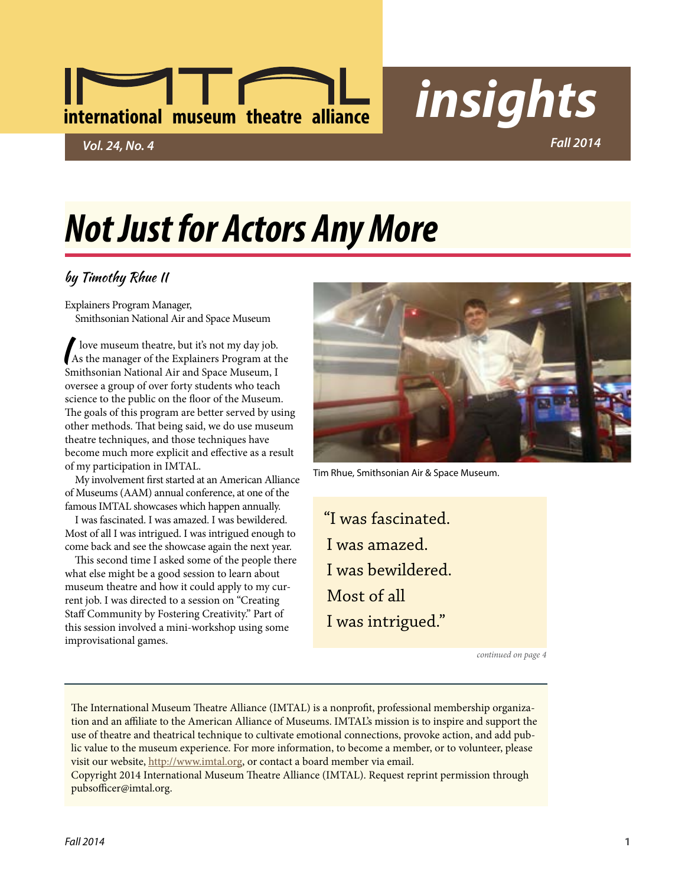# **international museum theatre alliance** *insights*

*Vol. 24, No. 4 Fall 2014*

## *Not Just for Actors Any More*

### by Timothy Rhue II

Explainers Program Manager, Smithsonian National Air and Space Museum

I love museum theatre, but it's not my day job.<br>As the manager of the Explainers Program at the<br>Smithearian Mitianal Air and Street Marson, I Smithsonian National Air and Space Museum, I oversee a group of over forty students who teach science to the public on the floor of the Museum. The goals of this program are better served by using other methods. That being said, we do use museum theatre techniques, and those techniques have become much more explicit and effective as a result of my participation in IMTAL.

My involvement first started at an American Alliance of Museums (AAM) annual conference, at one of the famous IMTAL showcases which happen annually.

I was fascinated. I was amazed. I was bewildered. Most of all I was intrigued. I was intrigued enough to come back and see the showcase again the next year.

This second time I asked some of the people there what else might be a good session to learn about museum theatre and how it could apply to my current job. I was directed to a session on "Creating Staff Community by Fostering Creativity." Part of this session involved a mini-workshop using some improvisational games.



Tim Rhue, Smithsonian Air & Space Museum.

"I was fascinated. I was amazed. I was bewildered. Most of all I was intrigued."

*continued on page 4*

The International Museum Theatre Alliance (IMTAL) is a nonprofit, professional membership organization and an affiliate to the American Alliance of Museums. IMTAL's mission is to inspire and support the use of theatre and theatrical technique to cultivate emotional connections, provoke action, and add public value to the museum experience. For more information, to become a member, or to volunteer, please visit our website, [http://www.imtal.org,](http://www.imtal.org) or contact a board member via email.

Copyright 2014 International Museum Theatre Alliance (IMTAL). Request reprint permission through [pubsofficer@imtal.org.](mailto:pubsofficer@imtal.org)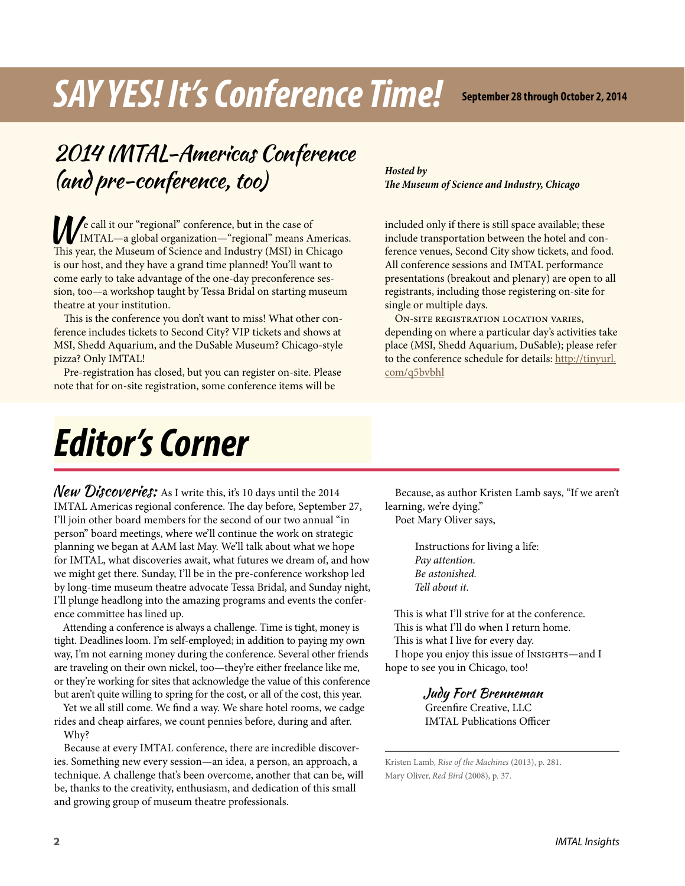## *SAY YES! It's Conference Time!*

**September 28 through October 2, 2014**

### 2014 IMTAL-Americas Conference (and pre-conference, too)

We call it our "regional" conference, but in the case of<br>IMTAL—a global organization—"regional" means Americas. This year, the Museum of Science and Industry (MSI) in Chicago is our host, and they have a grand time planned! You'll want to come early to take advantage of the one-day preconference session, too—a workshop taught by Tessa Bridal on starting museum theatre at your institution.

This is the conference you don't want to miss! What other conference includes tickets to Second City? VIP tickets and shows at MSI, Shedd Aquarium, and the DuSable Museum? Chicago-style pizza? Only IMTAL!

Pre-registration has closed, but you can register on-site. Please note that for on-site registration, some conference items will be

### *Hosted by The Museum of Science and Industry, Chicago*

included only if there is still space available; these include transportation between the hotel and conference venues, Second City show tickets, and food. All conference sessions and IMTAL performance presentations (breakout and plenary) are open to all registrants, including those registering on-site for single or multiple days.

On-site registration location varies, depending on where a particular day's activities take place (MSI, Shedd Aquarium, DuSable); please refer to the conference schedule for details: [http://tinyurl.](http://tinyurl.com/q5bvbhl) [com/q5bvbhl](http://tinyurl.com/q5bvbhl)

## *Editor's Corner*

**New Discoveries:** As I write this, it's 10 days until the 2014 IMTAL Americas regional conference. The day before, September 27, I'll join other board members for the second of our two annual "in person" board meetings, where we'll continue the work on strategic planning we began at AAM last May. We'll talk about what we hope for IMTAL, what discoveries await, what futures we dream of, and how we might get there. Sunday, I'll be in the pre-conference workshop led by long-time museum theatre advocate Tessa Bridal, and Sunday night, I'll plunge headlong into the amazing programs and events the conference committee has lined up.

Attending a conference is always a challenge. Time is tight, money is tight. Deadlines loom. I'm self-employed; in addition to paying my own way, I'm not earning money during the conference. Several other friends are traveling on their own nickel, too—they're either freelance like me, or they're working for sites that acknowledge the value of this conference but aren't quite willing to spring for the cost, or all of the cost, this year.

Yet we all still come. We find a way. We share hotel rooms, we cadge rides and cheap airfares, we count pennies before, during and after. Why?

Because at every IMTAL conference, there are incredible discoveries. Something new every session—an idea, a person, an approach, a technique. A challenge that's been overcome, another that can be, will be, thanks to the creativity, enthusiasm, and dedication of this small and growing group of museum theatre professionals.

Because, as author Kristen Lamb says, "If we aren't learning, we're dying."

Poet Mary Oliver says,

Instructions for living a life: *Pay attention. Be astonished. Tell about it*.

This is what I'll strive for at the conference. This is what I'll do when I return home. This is what I live for every day. I hope you enjoy this issue of Insights—and I hope to see you in Chicago, too!

> Judy Fort Brenneman Greenfire Creative, LLC IMTAL Publications Officer

Kristen Lamb, *Rise of the Machines* (2013), p. 281. Mary Oliver, *Red Bird* (2008), p. 37.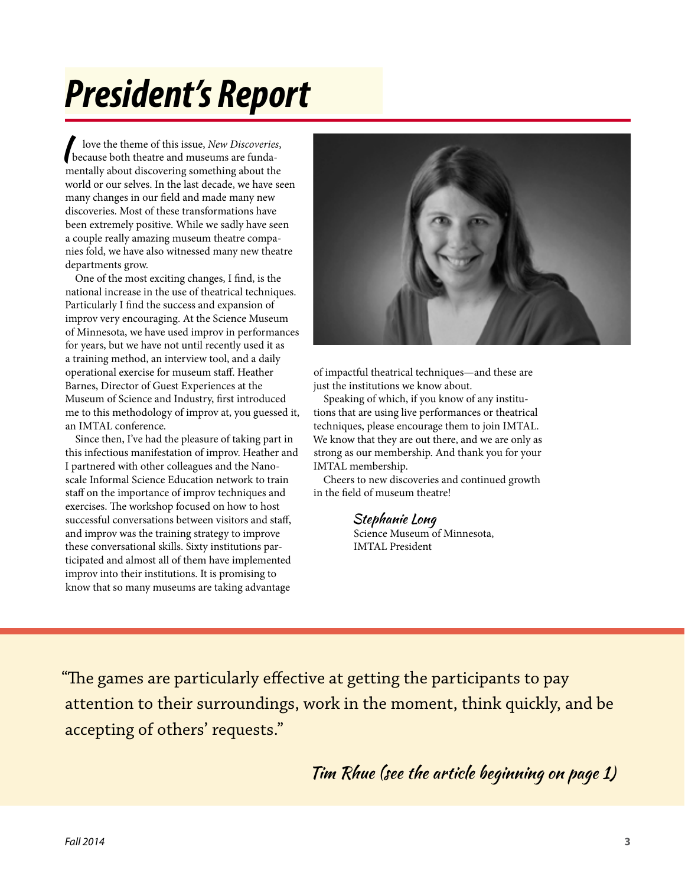## *President's Report*

I love the theme of this issue, *New Discoveries*,<br>because both theatre and museums are funda-<br>next like that discovering a way thin a short that mentally about discovering something about the world or our selves. In the last decade, we have seen many changes in our field and made many new discoveries. Most of these transformations have been extremely positive. While we sadly have seen a couple really amazing museum theatre companies fold, we have also witnessed many new theatre departments grow.

One of the most exciting changes, I find, is the national increase in the use of theatrical techniques. Particularly I find the success and expansion of improv very encouraging. At the Science Museum of Minnesota, we have used improv in performances for years, but we have not until recently used it as a training method, an interview tool, and a daily operational exercise for museum staff. Heather Barnes, Director of Guest Experiences at the Museum of Science and Industry, first introduced me to this methodology of improv at, you guessed it, an IMTAL conference.

Since then, I've had the pleasure of taking part in this infectious manifestation of improv. Heather and I partnered with other colleagues and the Nanoscale Informal Science Education network to train staff on the importance of improv techniques and exercises. The workshop focused on how to host successful conversations between visitors and staff, and improv was the training strategy to improve these conversational skills. Sixty institutions participated and almost all of them have implemented improv into their institutions. It is promising to know that so many museums are taking advantage



of impactful theatrical techniques—and these are just the institutions we know about.

Speaking of which, if you know of any institutions that are using live performances or theatrical techniques, please encourage them to join IMTAL. We know that they are out there, and we are only as strong as our membership. And thank you for your IMTAL membership.

Cheers to new discoveries and continued growth in the field of museum theatre!

### Stephanie Long

Science Museum of Minnesota, IMTAL President

"The games are particularly effective at getting the participants to pay attention to their surroundings, work in the moment, think quickly, and be accepting of others' requests."

Tim Rhue (see the article beginning on page 1)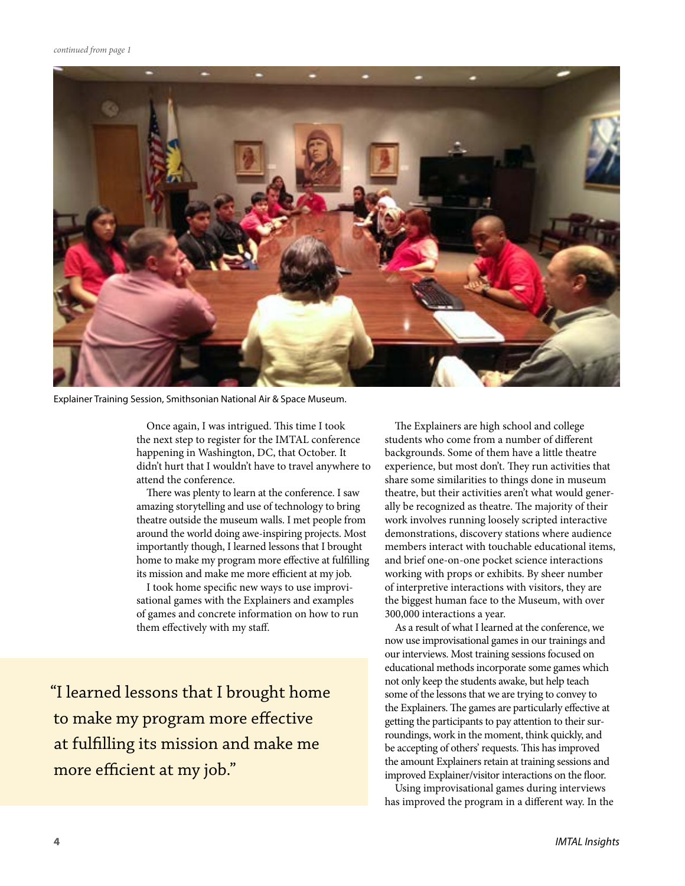

Explainer Training Session, Smithsonian National Air & Space Museum.

Once again, I was intrigued. This time I took the next step to register for the IMTAL conference happening in Washington, DC, that October. It didn't hurt that I wouldn't have to travel anywhere to attend the conference.

There was plenty to learn at the conference. I saw amazing storytelling and use of technology to bring theatre outside the museum walls. I met people from around the world doing awe-inspiring projects. Most importantly though, I learned lessons that I brought home to make my program more effective at fulfilling its mission and make me more efficient at my job.

I took home specific new ways to use improvisational games with the Explainers and examples of games and concrete information on how to run them effectively with my staff.

"I learned lessons that I brought home to make my program more effective at fulfilling its mission and make me more efficient at my job."

The Explainers are high school and college students who come from a number of different backgrounds. Some of them have a little theatre experience, but most don't. They run activities that share some similarities to things done in museum theatre, but their activities aren't what would generally be recognized as theatre. The majority of their work involves running loosely scripted interactive demonstrations, discovery stations where audience members interact with touchable educational items, and brief one-on-one pocket science interactions working with props or exhibits. By sheer number of interpretive interactions with visitors, they are the biggest human face to the Museum, with over 300,000 interactions a year.

As a result of what I learned at the conference, we now use improvisational games in our trainings and our interviews. Most training sessions focused on educational methods incorporate some games which not only keep the students awake, but help teach some of the lessons that we are trying to convey to the Explainers. The games are particularly effective at getting the participants to pay attention to their surroundings, work in the moment, think quickly, and be accepting of others' requests. This has improved the amount Explainers retain at training sessions and improved Explainer/visitor interactions on the floor.

Using improvisational games during interviews has improved the program in a different way. In the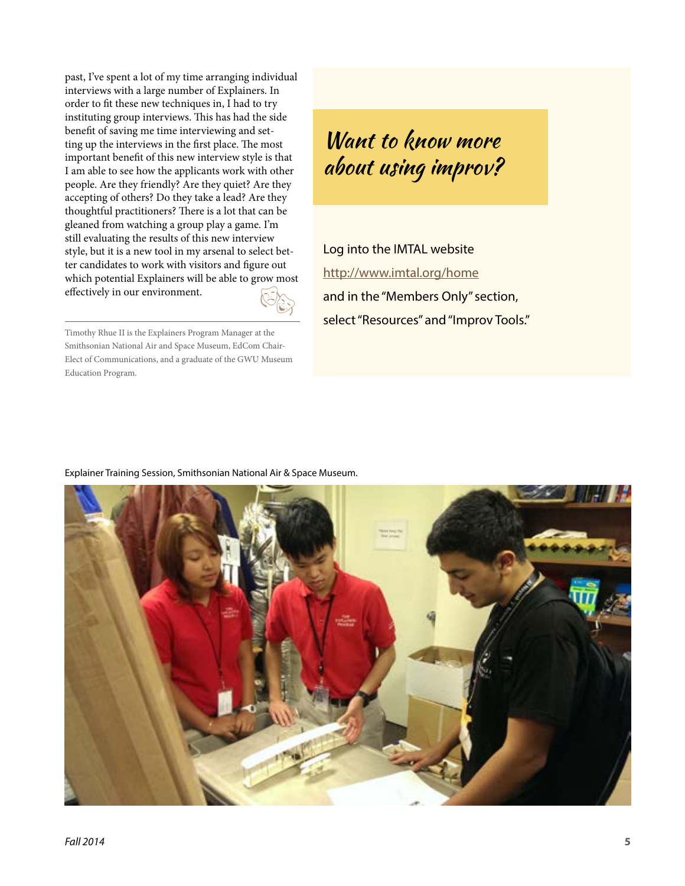$E$ past, I've spent a lot of my time arranging individual interviews with a large number of Explainers. In order to fit these new techniques in, I had to try instituting group interviews. This has had the side benefit of saving me time interviewing and setting up the interviews in the first place. The most important benefit of this new interview style is that I am able to see how the applicants work with other people. Are they friendly? Are they quiet? Are they accepting of others? Do they take a lead? Are they thoughtful practitioners? There is a lot that can be gleaned from watching a group play a game. I'm still evaluating the results of this new interview style, but it is a new tool in my arsenal to select better candidates to work with visitors and figure out which potential Explainers will be able to grow most effectively in our environment.

Timothy Rhue II is the Explainers Program Manager at the Smithsonian National Air and Space Museum, EdCom Chair-Elect of Communications, and a graduate of the GWU Museum Education Program.

### Want to know more about using improv?

Log into the IMTAL website <http://www.imtal.org/home> and in the "Members Only" section, select "Resources" and "Improv Tools."

#### Explainer Training Session, Smithsonian National Air & Space Museum.

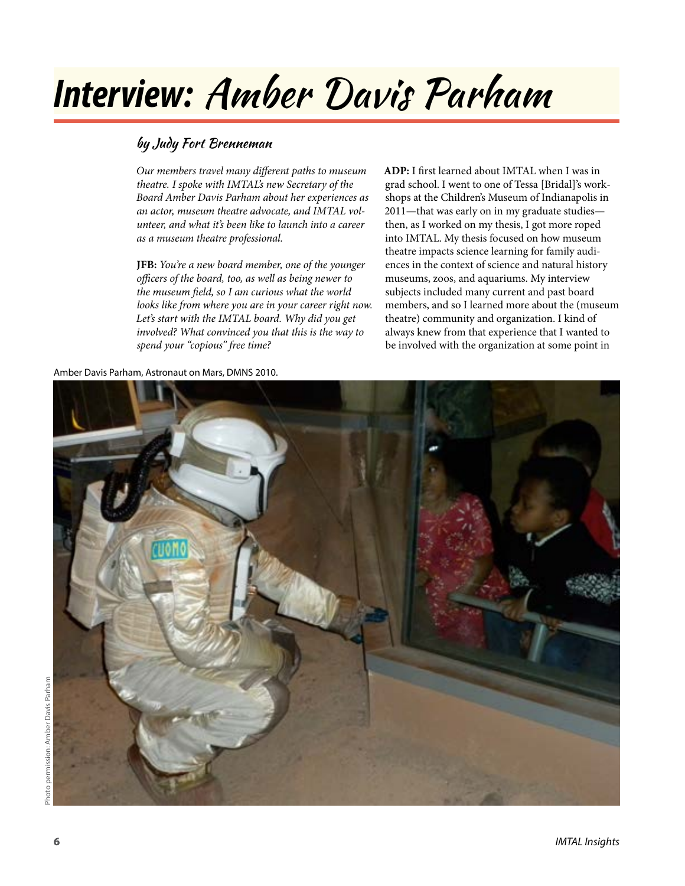## *Interview:* Amber Davis Parham

### by Judy Fort Brenneman

*Our members travel many different paths to museum theatre. I spoke with IMTAL's new Secretary of the Board Amber Davis Parham about her experiences as an actor, museum theatre advocate, and IMTAL volunteer, and what it's been like to launch into a career as a museum theatre professional.*

**JFB:** *You're a new board member, one of the younger officers of the board, too, as well as being newer to the museum field, so I am curious what the world looks like from where you are in your career right now. Let's start with the IMTAL board. Why did you get involved? What convinced you that this is the way to spend your "copious" free time?*

**ADP:** I first learned about IMTAL when I was in grad school. I went to one of Tessa [Bridal]'s workshops at the Children's Museum of Indianapolis in 2011—that was early on in my graduate studies then, as I worked on my thesis, I got more roped into IMTAL. My thesis focused on how museum theatre impacts science learning for family audiences in the context of science and natural history museums, zoos, and aquariums. My interview subjects included many current and past board members, and so I learned more about the (museum theatre) community and organization. I kind of always knew from that experience that I wanted to be involved with the organization at some point in

Amber Davis Parham, Astronaut on Mars, DMNS 2010.

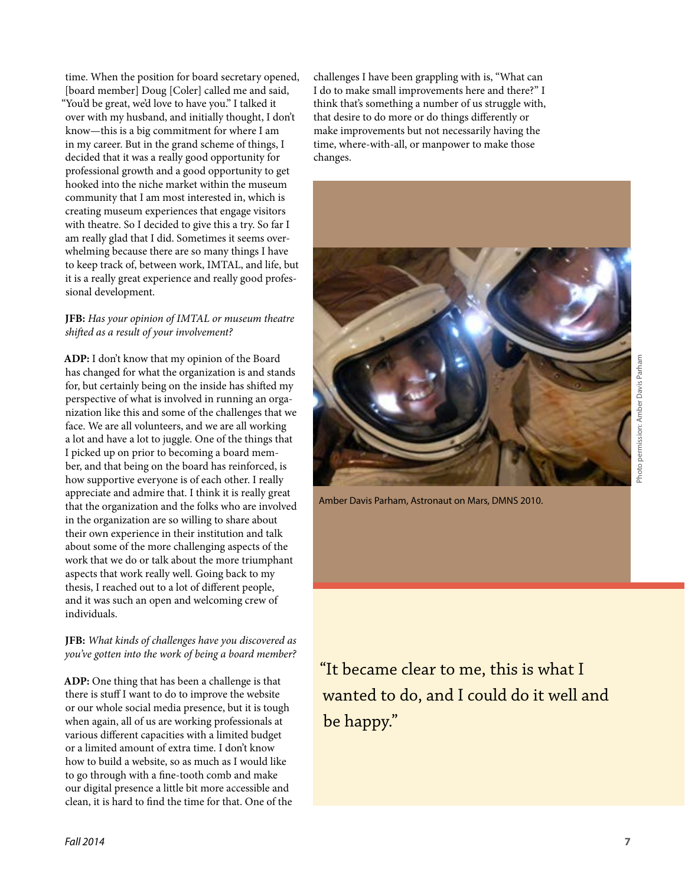time. When the position for board secretary opened, [board member] Doug [Coler] called me and said, "You'd be great, we'd love to have you." I talked it over with my husband, and initially thought, I don't know—this is a big commitment for where I am in my career. But in the grand scheme of things, I decided that it was a really good opportunity for professional growth and a good opportunity to get hooked into the niche market within the museum community that I am most interested in, which is creating museum experiences that engage visitors with theatre. So I decided to give this a try. So far I am really glad that I did. Sometimes it seems overwhelming because there are so many things I have to keep track of, between work, IMTAL, and life, but it is a really great experience and really good professional development.

#### **JFB:** *Has your opinion of IMTAL or museum theatre shifted as a result of your involvement?*

**ADP:** I don't know that my opinion of the Board has changed for what the organization is and stands for, but certainly being on the inside has shifted my perspective of what is involved in running an organization like this and some of the challenges that we face. We are all volunteers, and we are all working a lot and have a lot to juggle. One of the things that I picked up on prior to becoming a board member, and that being on the board has reinforced, is how supportive everyone is of each other. I really appreciate and admire that. I think it is really great that the organization and the folks who are involved in the organization are so willing to share about their own experience in their institution and talk about some of the more challenging aspects of the work that we do or talk about the more triumphant aspects that work really well. Going back to my thesis, I reached out to a lot of different people, and it was such an open and welcoming crew of individuals.

### **JFB:** *What kinds of challenges have you discovered as you've gotten into the work of being a board member?*

**ADP:** One thing that has been a challenge is that there is stuff I want to do to improve the website or our whole social media presence, but it is tough when again, all of us are working professionals at various different capacities with a limited budget or a limited amount of extra time. I don't know how to build a website, so as much as I would like to go through with a fine-tooth comb and make our digital presence a little bit more accessible and clean, it is hard to find the time for that. One of the challenges I have been grappling with is, "What can I do to make small improvements here and there?" I think that's something a number of us struggle with, that desire to do more or do things differently or make improvements but not necessarily having the time, where-with-all, or manpower to make those changes.



Amber Davis Parham, Astronaut on Mars, DMNS 2010.

"It became clear to me, this is what I wanted to do, and I could do it well and be happy."

Photo permission: Amber Davis Parham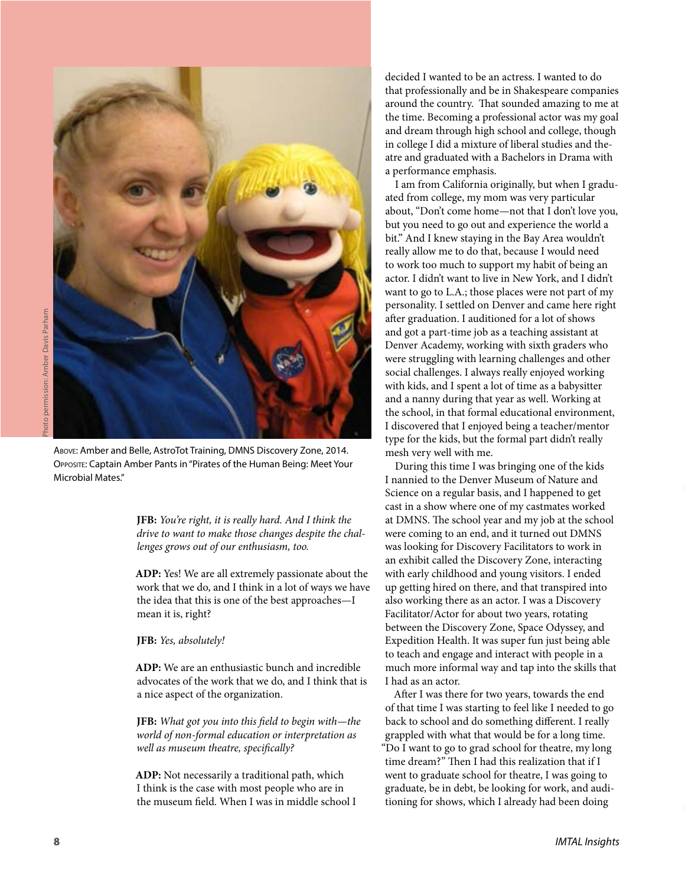

Photo permission: Amber Davis Parham Photo permission: Amber Davis Parham

Above: Amber and Belle, AstroTot Training, DMNS Discovery Zone, 2014. Opposite: Captain Amber Pants in "Pirates of the Human Being: Meet Your Microbial Mates."

**JFB:** *You're right, it is really hard. And I think the drive to want to make those changes despite the challenges grows out of our enthusiasm, too.*

**ADP:** Yes! We are all extremely passionate about the work that we do, and I think in a lot of ways we have the idea that this is one of the best approaches—I mean it is, right?

**JFB:** *Yes, absolutely!*

**ADP:** We are an enthusiastic bunch and incredible advocates of the work that we do, and I think that is a nice aspect of the organization.

**JFB:** *What got you into this field to begin with—the world of non-formal education or interpretation as well as museum theatre, specifically?*

**ADP:** Not necessarily a traditional path, which I think is the case with most people who are in the museum field. When I was in middle school I

decided I wanted to be an actress. I wanted to do that professionally and be in Shakespeare companies around the country. That sounded amazing to me at the time. Becoming a professional actor was my goal and dream through high school and college, though in college I did a mixture of liberal studies and theatre and graduated with a Bachelors in Drama with a performance emphasis.

I am from California originally, but when I graduated from college, my mom was very particular about, "Don't come home—not that I don't love you, but you need to go out and experience the world a bit." And I knew staying in the Bay Area wouldn't really allow me to do that, because I would need to work too much to support my habit of being an actor. I didn't want to live in New York, and I didn't want to go to L.A.; those places were not part of my personality. I settled on Denver and came here right after graduation. I auditioned for a lot of shows and got a part-time job as a teaching assistant at Denver Academy, working with sixth graders who were struggling with learning challenges and other social challenges. I always really enjoyed working with kids, and I spent a lot of time as a babysitter and a nanny during that year as well. Working at the school, in that formal educational environment, I discovered that I enjoyed being a teacher/mentor type for the kids, but the formal part didn't really mesh very well with me.

During this time I was bringing one of the kids I nannied to the Denver Museum of Nature and Science on a regular basis, and I happened to get cast in a show where one of my castmates worked at DMNS. The school year and my job at the school were coming to an end, and it turned out DMNS was looking for Discovery Facilitators to work in an exhibit called the Discovery Zone, interacting with early childhood and young visitors. I ended up getting hired on there, and that transpired into also working there as an actor. I was a Discovery Facilitator/Actor for about two years, rotating between the Discovery Zone, Space Odyssey, and Expedition Health. It was super fun just being able to teach and engage and interact with people in a much more informal way and tap into the skills that I had as an actor.

After I was there for two years, towards the end of that time I was starting to feel like I needed to go back to school and do something different. I really grappled with what that would be for a long time. "Do I want to go to grad school for theatre, my long time dream?" Then I had this realization that if I went to graduate school for theatre, I was going to graduate, be in debt, be looking for work, and auditioning for shows, which I already had been doing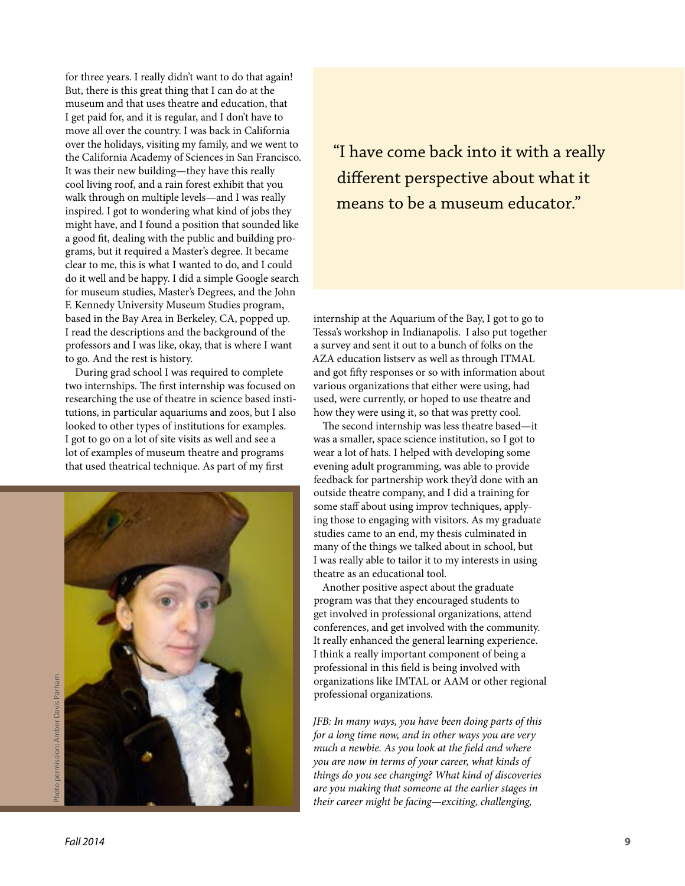for three years. I really didn't want to do that again! But, there is this great thing that I can do at the museum and that uses theatre and education, that I get paid for, and it is regular, and I don't have to move all over the country. I was back in California over the holidays, visiting my family, and we went to the California Academy of Sciences in San Francisco. It was their new building—they have this really cool living roof, and a rain forest exhibit that you walk through on multiple levels—and I was really inspired. I got to wondering what kind of jobs they might have, and I found a position that sounded like a good fit, dealing with the public and building programs, but it required a Master's degree. It became clear to me, this is what I wanted to do, and I could do it well and be happy. I did a simple Google search for museum studies, Master's Degrees, and the John F. Kennedy University Museum Studies program, based in the Bay Area in Berkeley, CA, popped up. I read the descriptions and the background of the professors and I was like, okay, that is where I want to go. And the rest is history.

During grad school I was required to complete two internships. The first internship was focused on researching the use of theatre in science based institutions, in particular aquariums and zoos, but I also looked to other types of institutions for examples. I got to go on a lot of site visits as well and see a lot of examples of museum theatre and programs that used theatrical technique. As part of my first



"I have come back into it with a really different perspective about what it means to be a museum educator."

internship at the Aquarium of the Bay, I got to go to Tessa's workshop in Indianapolis. I also put together a survey and sent it out to a bunch of folks on the AZA education listserv as well as through ITMAL and got fifty responses or so with information about various organizations that either were using, had used, were currently, or hoped to use theatre and how they were using it, so that was pretty cool.

The second internship was less theatre based—it was a smaller, space science institution, so I got to wear a lot of hats. I helped with developing some evening adult programming, was able to provide feedback for partnership work they'd done with an outside theatre company, and I did a training for some staff about using improv techniques, applying those to engaging with visitors. As my graduate studies came to an end, my thesis culminated in many of the things we talked about in school, but I was really able to tailor it to my interests in using theatre as an educational tool.

Another positive aspect about the graduate program was that they encouraged students to get involved in professional organizations, attend conferences, and get involved with the community. It really enhanced the general learning experience. I think a really important component of being a professional in this field is being involved with organizations like IMTAL or AAM or other regional professional organizations.

*JFB: In many ways, you have been doing parts of this for a long time now, and in other ways you are very much a newbie. As you look at the field and where you are now in terms of your career, what kinds of things do you see changing? What kind of discoveries are you making that someone at the earlier stages in their career might be facing—exciting, challenging,*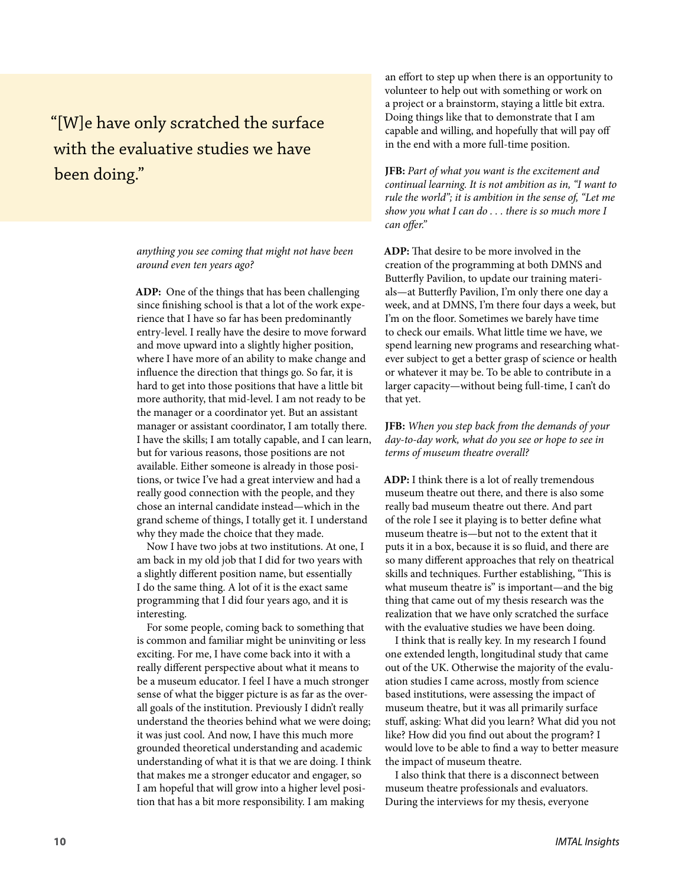### "[W]e have only scratched the surface with the evaluative studies we have been doing."

*anything you see coming that might not have been around even ten years ago?*

**ADP:** One of the things that has been challenging since finishing school is that a lot of the work experience that I have so far has been predominantly entry-level. I really have the desire to move forward and move upward into a slightly higher position, where I have more of an ability to make change and influence the direction that things go. So far, it is hard to get into those positions that have a little bit more authority, that mid-level. I am not ready to be the manager or a coordinator yet. But an assistant manager or assistant coordinator, I am totally there. I have the skills; I am totally capable, and I can learn, but for various reasons, those positions are not available. Either someone is already in those positions, or twice I've had a great interview and had a really good connection with the people, and they chose an internal candidate instead—which in the grand scheme of things, I totally get it. I understand why they made the choice that they made.

Now I have two jobs at two institutions. At one, I am back in my old job that I did for two years with a slightly different position name, but essentially I do the same thing. A lot of it is the exact same programming that I did four years ago, and it is interesting.

For some people, coming back to something that is common and familiar might be uninviting or less exciting. For me, I have come back into it with a really different perspective about what it means to be a museum educator. I feel I have a much stronger sense of what the bigger picture is as far as the overall goals of the institution. Previously I didn't really understand the theories behind what we were doing; it was just cool. And now, I have this much more grounded theoretical understanding and academic understanding of what it is that we are doing. I think that makes me a stronger educator and engager, so I am hopeful that will grow into a higher level position that has a bit more responsibility. I am making

an effort to step up when there is an opportunity to volunteer to help out with something or work on a project or a brainstorm, staying a little bit extra. Doing things like that to demonstrate that I am capable and willing, and hopefully that will pay off in the end with a more full-time position.

**JFB:** *Part of what you want is the excitement and continual learning. It is not ambition as in, "I want to rule the world"; it is ambition in the sense of, "Let me show you what I can do . . . there is so much more I can offer."*

**ADP:** That desire to be more involved in the creation of the programming at both DMNS and Butterfly Pavilion, to update our training materials—at Butterfly Pavilion, I'm only there one day a week, and at DMNS, I'm there four days a week, but I'm on the floor. Sometimes we barely have time to check our emails. What little time we have, we spend learning new programs and researching whatever subject to get a better grasp of science or health or whatever it may be. To be able to contribute in a larger capacity—without being full-time, I can't do that yet.

**JFB:** *When you step back from the demands of your day-to-day work, what do you see or hope to see in terms of museum theatre overall?*

**ADP:** I think there is a lot of really tremendous museum theatre out there, and there is also some really bad museum theatre out there. And part of the role I see it playing is to better define what museum theatre is—but not to the extent that it puts it in a box, because it is so fluid, and there are so many different approaches that rely on theatrical skills and techniques. Further establishing, "This is what museum theatre is" is important—and the big thing that came out of my thesis research was the realization that we have only scratched the surface with the evaluative studies we have been doing.

I think that is really key. In my research I found one extended length, longitudinal study that came out of the UK. Otherwise the majority of the evaluation studies I came across, mostly from science based institutions, were assessing the impact of museum theatre, but it was all primarily surface stuff, asking: What did you learn? What did you not like? How did you find out about the program? I would love to be able to find a way to better measure the impact of museum theatre.

I also think that there is a disconnect between museum theatre professionals and evaluators. During the interviews for my thesis, everyone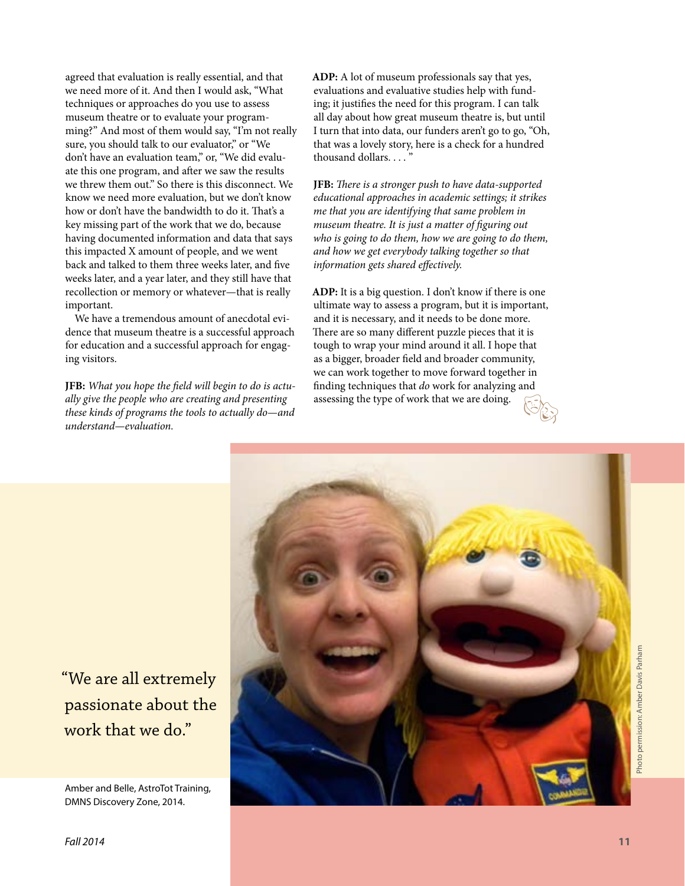agreed that evaluation is really essential, and that we need more of it. And then I would ask, "What techniques or approaches do you use to assess museum theatre or to evaluate your programming?" And most of them would say, "I'm not really sure, you should talk to our evaluator," or "We don't have an evaluation team," or, "We did evaluate this one program, and after we saw the results we threw them out." So there is this disconnect. We know we need more evaluation, but we don't know how or don't have the bandwidth to do it. That's a key missing part of the work that we do, because having documented information and data that says this impacted X amount of people, and we went back and talked to them three weeks later, and five weeks later, and a year later, and they still have that recollection or memory or whatever—that is really important.

We have a tremendous amount of anecdotal evidence that museum theatre is a successful approach for education and a successful approach for engaging visitors.

**JFB:** *What you hope the field will begin to do is actually give the people who are creating and presenting these kinds of programs the tools to actually do—and understand—evaluation.*

**ADP:** A lot of museum professionals say that yes, evaluations and evaluative studies help with funding; it justifies the need for this program. I can talk all day about how great museum theatre is, but until I turn that into data, our funders aren't go to go, "Oh, that was a lovely story, here is a check for a hundred thousand dollars....'

**JFB:** *There is a stronger push to have data-supported educational approaches in academic settings; it strikes me that you are identifying that same problem in museum theatre. It is just a matter of figuring out who is going to do them, how we are going to do them, and how we get everybody talking together so that information gets shared effectively.*

**ADP:** It is a big question. I don't know if there is one ultimate way to assess a program, but it is important, and it is necessary, and it needs to be done more. There are so many different puzzle pieces that it is tough to wrap your mind around it all. I hope that as a bigger, broader field and broader community, we can work together to move forward together in finding techniques that *do* work for analyzing and assessing the type of work that we are doing.



"We are all extremely passionate about the work that we do."

Amber and Belle, AstroTot Training, DMNS Discovery Zone, 2014.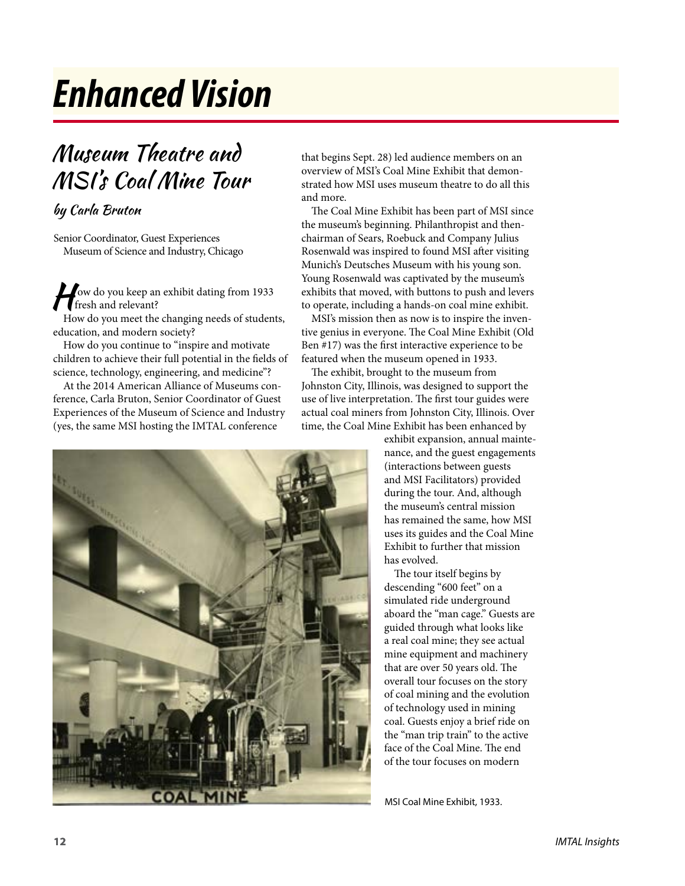## *Enhanced Vision*

### Museum Theatre and MSI's Coal Mine Tour

### by Carla Bruton

Senior Coordinator, Guest Experiences Museum of Science and Industry, Chicago

Jow do you keep an exhibit dating from 1933 fresh and relevant?

How do you meet the changing needs of students, education, and modern society?

How do you continue to "inspire and motivate children to achieve their full potential in the fields of science, technology, engineering, and medicine"?

At the 2014 American Alliance of Museums conference, Carla Bruton, Senior Coordinator of Guest Experiences of the Museum of Science and Industry (yes, the same MSI hosting the IMTAL conference

that begins Sept. 28) led audience members on an overview of MSI's Coal Mine Exhibit that demonstrated how MSI uses museum theatre to do all this and more.

The Coal Mine Exhibit has been part of MSI since the museum's beginning. Philanthropist and thenchairman of Sears, Roebuck and Company Julius Rosenwald was inspired to found MSI after visiting Munich's Deutsches Museum with his young son. Young Rosenwald was captivated by the museum's exhibits that moved, with buttons to push and levers to operate, including a hands-on coal mine exhibit.

MSI's mission then as now is to inspire the inventive genius in everyone. The Coal Mine Exhibit (Old Ben #17) was the first interactive experience to be featured when the museum opened in 1933.

The exhibit, brought to the museum from Johnston City, Illinois, was designed to support the use of live interpretation. The first tour guides were actual coal miners from Johnston City, Illinois. Over time, the Coal Mine Exhibit has been enhanced by

> exhibit expansion, annual maintenance, and the guest engagements (interactions between guests and MSI Facilitators) provided during the tour. And, although the museum's central mission has remained the same, how MSI uses its guides and the Coal Mine Exhibit to further that mission has evolved.

> The tour itself begins by descending "600 feet" on a simulated ride underground aboard the "man cage." Guests are guided through what looks like a real coal mine; they see actual mine equipment and machinery that are over 50 years old. The overall tour focuses on the story of coal mining and the evolution of technology used in mining coal. Guests enjoy a brief ride on the "man trip train" to the active face of the Coal Mine. The end of the tour focuses on modern

MSI Coal Mine Exhibit, 1933.

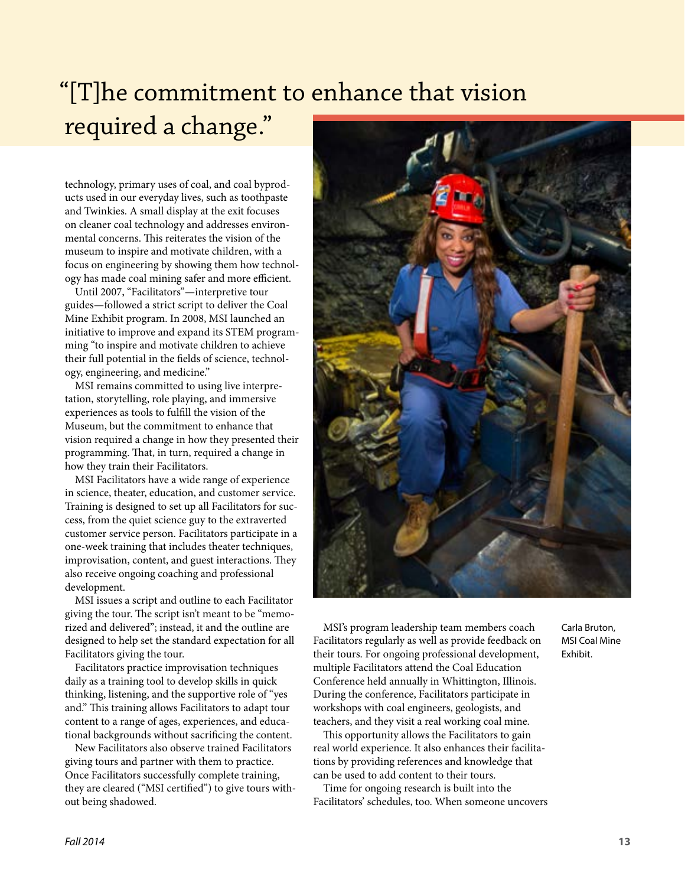## "[T]he commitment to enhance that vision required a change."

technology, primary uses of coal, and coal byproducts used in our everyday lives, such as toothpaste and Twinkies. A small display at the exit focuses on cleaner coal technology and addresses environmental concerns. This reiterates the vision of the museum to inspire and motivate children, with a focus on engineering by showing them how technology has made coal mining safer and more efficient.

Until 2007, "Facilitators"—interpretive tour guides—followed a strict script to deliver the Coal Mine Exhibit program. In 2008, MSI launched an initiative to improve and expand its STEM programming "to inspire and motivate children to achieve their full potential in the fields of science, technology, engineering, and medicine."

MSI remains committed to using live interpretation, storytelling, role playing, and immersive experiences as tools to fulfill the vision of the Museum, but the commitment to enhance that vision required a change in how they presented their programming. That, in turn, required a change in how they train their Facilitators.

MSI Facilitators have a wide range of experience in science, theater, education, and customer service. Training is designed to set up all Facilitators for success, from the quiet science guy to the extraverted customer service person. Facilitators participate in a one-week training that includes theater techniques, improvisation, content, and guest interactions. They also receive ongoing coaching and professional development.

MSI issues a script and outline to each Facilitator giving the tour. The script isn't meant to be "memorized and delivered"; instead, it and the outline are designed to help set the standard expectation for all Facilitators giving the tour.

Facilitators practice improvisation techniques daily as a training tool to develop skills in quick thinking, listening, and the supportive role of "yes and." This training allows Facilitators to adapt tour content to a range of ages, experiences, and educational backgrounds without sacrificing the content.

New Facilitators also observe trained Facilitators giving tours and partner with them to practice. Once Facilitators successfully complete training, they are cleared ("MSI certified") to give tours without being shadowed.



MSI's program leadership team members coach Facilitators regularly as well as provide feedback on their tours. For ongoing professional development, multiple Facilitators attend the Coal Education Conference held annually in Whittington, Illinois. During the conference, Facilitators participate in workshops with coal engineers, geologists, and teachers, and they visit a real working coal mine.

This opportunity allows the Facilitators to gain real world experience. It also enhances their facilitations by providing references and knowledge that can be used to add content to their tours.

Time for ongoing research is built into the Facilitators' schedules, too. When someone uncovers Carla Bruton, MSI Coal Mine Exhibit.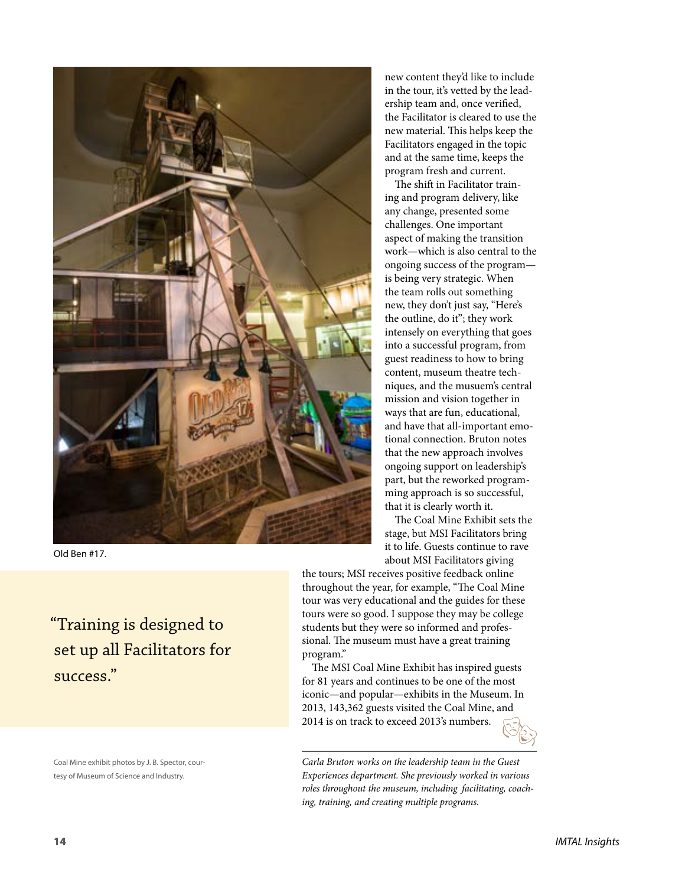

Old Ben #17.

"Training is designed to set up all Facilitators for success."

Coal Mine exhibit photos by J. B. Spector, courtesy of Museum of Science and Industry.

new content they'd like to include in the tour, it's vetted by the leadership team and, once verified, the Facilitator is cleared to use the new material. This helps keep the Facilitators engaged in the topic and at the same time, keeps the program fresh and current.

The shift in Facilitator training and program delivery, like any change, presented some challenges. One important aspect of making the transition work—which is also central to the ongoing success of the program is being very strategic. When the team rolls out something new, they don't just say, "Here's the outline, do it"; they work intensely on everything that goes into a successful program, from guest readiness to how to bring content, museum theatre techniques, and the musuem's central mission and vision together in ways that are fun, educational, and have that all-important emotional connection. Bruton notes that the new approach involves ongoing support on leadership's part, but the reworked programming approach is so successful, that it is clearly worth it.

The Coal Mine Exhibit sets the stage, but MSI Facilitators bring it to life. Guests continue to rave about MSI Facilitators giving

the tours; MSI receives positive feedback online throughout the year, for example, "The Coal Mine tour was very educational and the guides for these tours were so good. I suppose they may be college students but they were so informed and professional. The museum must have a great training program."

The MSI Coal Mine Exhibit has inspired guests for 81 years and continues to be one of the most iconic—and popular—exhibits in the Museum. In 2013, 143,362 guests visited the Coal Mine, and 2014 is on track to exceed 2013's numbers.



*Carla Bruton works on the leadership team in the Guest Experiences department. She previously worked in various roles throughout the museum, including facilitating, coaching, training, and creating multiple programs.*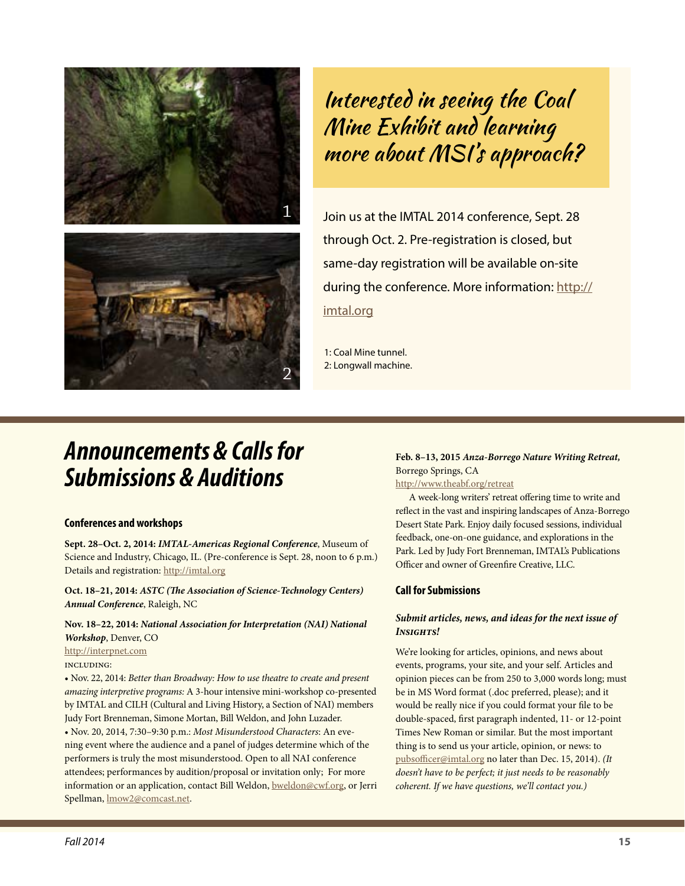



Interested in seeing the Coal Mine Exhibit and learning more about MSI's approach?

Join us at the IMTAL 2014 conference, Sept. 28 through Oct. 2. Pre-registration is closed, but same-day registration will be available on-site during the conference. More information: [http://](http://imtal.org) [imtal.org](http://imtal.org)

1: Coal Mine tunnel. 2: Longwall machine.

### *Announcements & Calls for Submissions & Auditions*

#### **Conferences and workshops**

**Sept. 28–Oct. 2, 2014:** *IMTAL-Americas Regional Conference*, Museum of Science and Industry, Chicago, IL. (Pre-conference is Sept. 28, noon to 6 p.m.) Details and registration:<http://imtal.org>

**Oct. 18–21, 2014:** *ASTC (The Association of Science-Technology Centers) Annual Conference*, Raleigh, NC

**Nov. 18–22, 2014:** *National Association for Interpretation (NAI) National Workshop*, Denver, CO

<http://interpnet.com>

including:

• Nov. 22, 2014: *Better than Broadway: How to use theatre to create and present amazing interpretive programs:* A 3-hour intensive mini-workshop co-presented by IMTAL and CILH (Cultural and Living History, a Section of NAI) members Judy Fort Brenneman, Simone Mortan, Bill Weldon, and John Luzader. • Nov. 20, 2014, 7:30–9:30 p.m.: *Most Misunderstood Characters*: An evening event where the audience and a panel of judges determine which of the performers is truly the most misunderstood. Open to all NAI conference attendees; performances by audition/proposal or invitation only; For more information or an application, contact Bill Weldon, [bweldon@cwf.org](mailto:bweldon@cwf.org), or Jerri Spellman, [lmow2@comcast.net.](http://mailto:lmow2@comcast.net)

### **Feb. 8–13, 2015** *Anza-Borrego Nature Writing Retreat,* Borrego Springs, CA

<http://www.theabf.org/retreat>

A week-long writers' retreat offering time to write and reflect in the vast and inspiring landscapes of Anza-Borrego Desert State Park. Enjoy daily focused sessions, individual feedback, one-on-one guidance, and explorations in the Park. Led by Judy Fort Brenneman, IMTAL's Publications Officer and owner of Greenfire Creative, LLC.

### **Call for Submissions**

### *Submit articles, news, and ideas for the next issue of Insights!*

We're looking for articles, opinions, and news about events, programs, your site, and your self. Articles and opinion pieces can be from 250 to 3,000 words long; must be in MS Word format (.doc preferred, please); and it would be really nice if you could format your file to be double-spaced, first paragraph indented, 11- or 12-point Times New Roman or similar. But the most important thing is to send us your article, opinion, or news: to [pubsofficer@imtal.org](mailto:pubsofficer@imtal.org) no later than Dec. 15, 2014). *(It doesn't have to be perfect; it just needs to be reasonably coherent. If we have questions, we'll contact you.)*